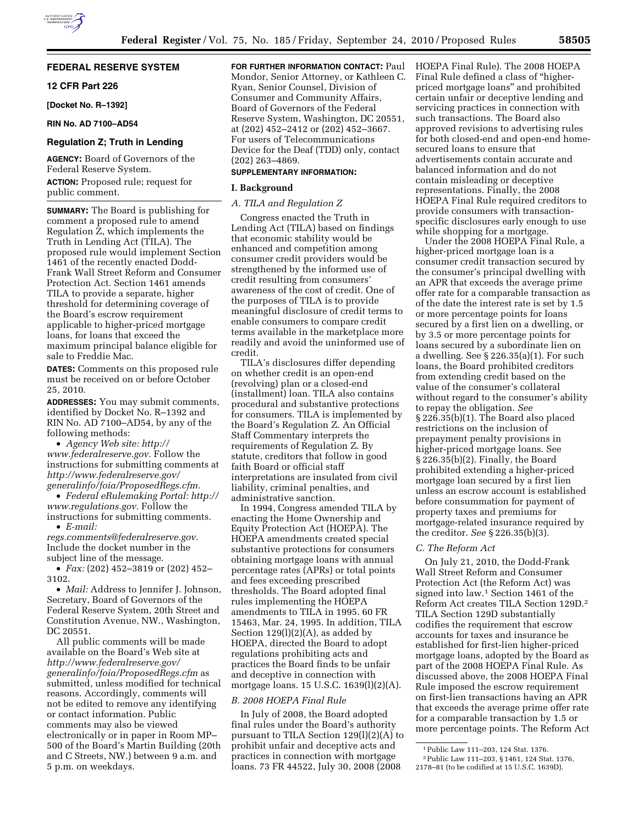# **FEDERAL RESERVE SYSTEM**

# **12 CFR Part 226**

**[Docket No. R–1392]** 

## **RIN No. AD 7100–AD54**

# **Regulation Z; Truth in Lending**

**AGENCY:** Board of Governors of the Federal Reserve System.

**ACTION:** Proposed rule; request for public comment.

**SUMMARY:** The Board is publishing for comment a proposed rule to amend Regulation Z, which implements the Truth in Lending Act (TILA). The proposed rule would implement Section 1461 of the recently enacted Dodd-Frank Wall Street Reform and Consumer Protection Act. Section 1461 amends TILA to provide a separate, higher threshold for determining coverage of the Board's escrow requirement applicable to higher-priced mortgage loans, for loans that exceed the maximum principal balance eligible for sale to Freddie Mac.

**DATES:** Comments on this proposed rule must be received on or before October 25, 2010.

**ADDRESSES:** You may submit comments, identified by Docket No. R–1392 and RIN No. AD 7100–AD54, by any of the following methods:

• *Agency Web site: [http://](http://www.federalreserve.gov) [www.federalreserve.gov.](http://www.federalreserve.gov)* Follow the instructions for submitting comments at *[http://www.federalreserve.gov/](http://www.federalreserve.gov/generalinfo/foia/ProposedRegs.cfm)  [generalinfo/foia/ProposedRegs.cfm.](http://www.federalreserve.gov/generalinfo/foia/ProposedRegs.cfm)* 

• *Federal eRulemaking Portal: [http://](http://www.regulations.gov)  [www.regulations.gov.](http://www.regulations.gov)* Follow the instructions for submitting comments.

• *E-mail:* 

*[regs.comments@federalreserve.gov.](mailto:regs.comments@federalreserve.gov)*  Include the docket number in the subject line of the message.

• *Fax:* (202) 452–3819 or (202) 452– 3102.

• *Mail:* Address to Jennifer J. Johnson, Secretary, Board of Governors of the Federal Reserve System, 20th Street and Constitution Avenue, NW., Washington, DC 20551.

All public comments will be made available on the Board's Web site at *[http://www.federalreserve.gov/](http://www.federalreserve.gov/generalinfo/foia/ProposedRegs.cfm)  [generalinfo/foia/ProposedRegs.cfm](http://www.federalreserve.gov/generalinfo/foia/ProposedRegs.cfm)* as submitted, unless modified for technical reasons. Accordingly, comments will not be edited to remove any identifying or contact information. Public comments may also be viewed electronically or in paper in Room MP– 500 of the Board's Martin Building (20th and C Streets, NW.) between 9 a.m. and 5 p.m. on weekdays.

**FOR FURTHER INFORMATION CONTACT: Paul** Mondor, Senior Attorney, or Kathleen C. Ryan, Senior Counsel, Division of Consumer and Community Affairs, Board of Governors of the Federal Reserve System, Washington, DC 20551, at (202) 452–2412 or (202) 452–3667. For users of Telecommunications Device for the Deaf (TDD) only, contact (202) 263–4869.

## **SUPPLEMENTARY INFORMATION:**

#### **I. Background**

# *A. TILA and Regulation Z*

Congress enacted the Truth in Lending Act (TILA) based on findings that economic stability would be enhanced and competition among consumer credit providers would be strengthened by the informed use of credit resulting from consumers' awareness of the cost of credit. One of the purposes of TILA is to provide meaningful disclosure of credit terms to enable consumers to compare credit terms available in the marketplace more readily and avoid the uninformed use of credit.

TILA's disclosures differ depending on whether credit is an open-end (revolving) plan or a closed-end (installment) loan. TILA also contains procedural and substantive protections for consumers. TILA is implemented by the Board's Regulation Z. An Official Staff Commentary interprets the requirements of Regulation Z. By statute, creditors that follow in good faith Board or official staff interpretations are insulated from civil liability, criminal penalties, and administrative sanction.

In 1994, Congress amended TILA by enacting the Home Ownership and Equity Protection Act (HOEPA). The HOEPA amendments created special substantive protections for consumers obtaining mortgage loans with annual percentage rates (APRs) or total points and fees exceeding prescribed thresholds. The Board adopted final rules implementing the HOEPA amendments to TILA in 1995. 60 FR 15463, Mar. 24, 1995. In addition, TILA Section  $129(1)(2)(A)$ , as added by HOEPA, directed the Board to adopt regulations prohibiting acts and practices the Board finds to be unfair and deceptive in connection with mortgage loans. 15 U.S.C. 1639(l)(2)(A).

#### *B. 2008 HOEPA Final Rule*

In July of 2008, the Board adopted final rules under the Board's authority pursuant to TILA Section 129(l)(2)(A) to prohibit unfair and deceptive acts and practices in connection with mortgage loans. 73 FR 44522, July 30, 2008 (2008

HOEPA Final Rule). The 2008 HOEPA Final Rule defined a class of ''higherpriced mortgage loans'' and prohibited certain unfair or deceptive lending and servicing practices in connection with such transactions. The Board also approved revisions to advertising rules for both closed-end and open-end homesecured loans to ensure that advertisements contain accurate and balanced information and do not contain misleading or deceptive representations. Finally, the 2008 HOEPA Final Rule required creditors to provide consumers with transactionspecific disclosures early enough to use while shopping for a mortgage.

Under the 2008 HOEPA Final Rule, a higher-priced mortgage loan is a consumer credit transaction secured by the consumer's principal dwelling with an APR that exceeds the average prime offer rate for a comparable transaction as of the date the interest rate is set by 1.5 or more percentage points for loans secured by a first lien on a dwelling, or by 3.5 or more percentage points for loans secured by a subordinate lien on a dwelling. See § 226.35(a)(1). For such loans, the Board prohibited creditors from extending credit based on the value of the consumer's collateral without regard to the consumer's ability to repay the obligation. *See*  § 226.35(b)(1). The Board also placed restrictions on the inclusion of prepayment penalty provisions in higher-priced mortgage loans. See § 226.35(b)(2). Finally, the Board prohibited extending a higher-priced mortgage loan secured by a first lien unless an escrow account is established before consummation for payment of property taxes and premiums for mortgage-related insurance required by the creditor. *See* § 226.35(b)(3).

#### *C. The Reform Act*

On July 21, 2010, the Dodd-Frank Wall Street Reform and Consumer Protection Act (the Reform Act) was signed into law.1 Section 1461 of the Reform Act creates TILA Section 129D.2 TILA Section 129D substantially codifies the requirement that escrow accounts for taxes and insurance be established for first-lien higher-priced mortgage loans, adopted by the Board as part of the 2008 HOEPA Final Rule. As discussed above, the 2008 HOEPA Final Rule imposed the escrow requirement on first-lien transactions having an APR that exceeds the average prime offer rate for a comparable transaction by 1.5 or more percentage points. The Reform Act

<sup>1</sup>Public Law 111–203, 124 Stat. 1376. 2Public Law 111–203, § 1461, 124 Stat. 1376,

<sup>2178–81 (</sup>to be codified at 15 U.S.C. 1639D).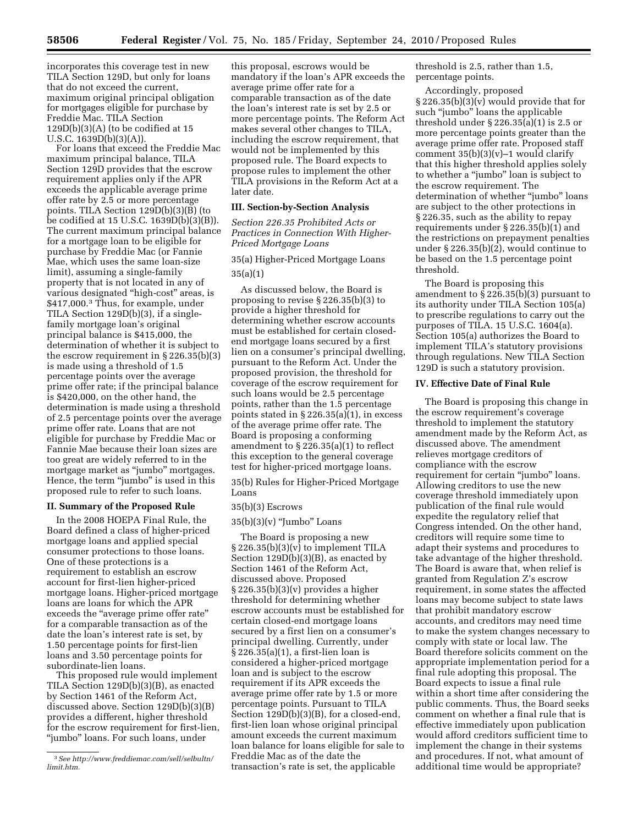incorporates this coverage test in new TILA Section 129D, but only for loans that do not exceed the current, maximum original principal obligation for mortgages eligible for purchase by Freddie Mac. TILA Section  $129D(b)(3)(A)$  (to be codified at 15 U.S.C. 1639D(b)(3)(A)).

For loans that exceed the Freddie Mac maximum principal balance, TILA Section 129D provides that the escrow requirement applies only if the APR exceeds the applicable average prime offer rate by 2.5 or more percentage points. TILA Section 129D(b)(3)(B) (to be codified at 15 U.S.C. 1639D(b)(3)(B)). The current maximum principal balance for a mortgage loan to be eligible for purchase by Freddie Mac (or Fannie Mae, which uses the same loan-size limit), assuming a single-family property that is not located in any of various designated "high-cost" areas, is \$417,000.3 Thus, for example, under TILA Section 129D(b)(3), if a singlefamily mortgage loan's original principal balance is \$415,000, the determination of whether it is subject to the escrow requirement in  $\S 226.35(b)(3)$ is made using a threshold of 1.5 percentage points over the average prime offer rate; if the principal balance is \$420,000, on the other hand, the determination is made using a threshold of 2.5 percentage points over the average prime offer rate. Loans that are not eligible for purchase by Freddie Mac or Fannie Mae because their loan sizes are too great are widely referred to in the mortgage market as ''jumbo'' mortgages. Hence, the term "jumbo" is used in this proposed rule to refer to such loans.

#### **II. Summary of the Proposed Rule**

In the 2008 HOEPA Final Rule, the Board defined a class of higher-priced mortgage loans and applied special consumer protections to those loans. One of these protections is a requirement to establish an escrow account for first-lien higher-priced mortgage loans. Higher-priced mortgage loans are loans for which the APR exceeds the "average prime offer rate" for a comparable transaction as of the date the loan's interest rate is set, by 1.50 percentage points for first-lien loans and 3.50 percentage points for subordinate-lien loans.

This proposed rule would implement TILA Section 129D(b)(3)(B), as enacted by Section 1461 of the Reform Act, discussed above. Section 129D(b)(3)(B) provides a different, higher threshold for the escrow requirement for first-lien, ''jumbo'' loans. For such loans, under

this proposal, escrows would be mandatory if the loan's APR exceeds the average prime offer rate for a comparable transaction as of the date the loan's interest rate is set by 2.5 or more percentage points. The Reform Act makes several other changes to TILA, including the escrow requirement, that would not be implemented by this proposed rule. The Board expects to propose rules to implement the other TILA provisions in the Reform Act at a later date.

## **III. Section-by-Section Analysis**

*Section 226.35 Prohibited Acts or Practices in Connection With Higher-Priced Mortgage Loans* 

# 35(a) Higher-Priced Mortgage Loans 35(a)(1)

As discussed below, the Board is proposing to revise § 226.35(b)(3) to provide a higher threshold for determining whether escrow accounts must be established for certain closedend mortgage loans secured by a first lien on a consumer's principal dwelling, pursuant to the Reform Act. Under the proposed provision, the threshold for coverage of the escrow requirement for such loans would be 2.5 percentage points, rather than the 1.5 percentage points stated in § 226.35(a)(1), in excess of the average prime offer rate. The Board is proposing a conforming amendment to § 226.35(a)(1) to reflect this exception to the general coverage test for higher-priced mortgage loans.

35(b) Rules for Higher-Priced Mortgage Loans

#### 35(b)(3) Escrows

 $35(b)(3)(v)$  "Jumbo" Loans

The Board is proposing a new  $§ 226.35(b)(3)(v)$  to implement TILA Section 129D(b)(3)(B), as enacted by Section 1461 of the Reform Act, discussed above. Proposed § 226.35(b)(3)(v) provides a higher threshold for determining whether escrow accounts must be established for certain closed-end mortgage loans secured by a first lien on a consumer's principal dwelling. Currently, under § 226.35(a)(1), a first-lien loan is considered a higher-priced mortgage loan and is subject to the escrow requirement if its APR exceeds the average prime offer rate by 1.5 or more percentage points. Pursuant to TILA Section 129D(b)(3)(B), for a closed-end, first-lien loan whose original principal amount exceeds the current maximum loan balance for loans eligible for sale to Freddie Mac as of the date the transaction's rate is set, the applicable

threshold is 2.5, rather than 1.5, percentage points.

Accordingly, proposed  $\S 226.35(b)(3)(v)$  would provide that for such "jumbo" loans the applicable threshold under § 226.35(a)(1) is 2.5 or more percentage points greater than the average prime offer rate. Proposed staff comment  $35(b)(3)(v)-1$  would clarify that this higher threshold applies solely to whether a ''jumbo'' loan is subject to the escrow requirement. The determination of whether ''jumbo'' loans are subject to the other protections in § 226.35, such as the ability to repay requirements under § 226.35(b)(1) and the restrictions on prepayment penalties under § 226.35(b)(2), would continue to be based on the 1.5 percentage point threshold.

The Board is proposing this amendment to § 226.35(b)(3) pursuant to its authority under TILA Section 105(a) to prescribe regulations to carry out the purposes of TILA. 15 U.S.C. 1604(a). Section 105(a) authorizes the Board to implement TILA's statutory provisions through regulations. New TILA Section 129D is such a statutory provision.

#### **IV. Effective Date of Final Rule**

The Board is proposing this change in the escrow requirement's coverage threshold to implement the statutory amendment made by the Reform Act, as discussed above. The amendment relieves mortgage creditors of compliance with the escrow requirement for certain "jumbo" loans. Allowing creditors to use the new coverage threshold immediately upon publication of the final rule would expedite the regulatory relief that Congress intended. On the other hand, creditors will require some time to adapt their systems and procedures to take advantage of the higher threshold. The Board is aware that, when relief is granted from Regulation Z's escrow requirement, in some states the affected loans may become subject to state laws that prohibit mandatory escrow accounts, and creditors may need time to make the system changes necessary to comply with state or local law. The Board therefore solicits comment on the appropriate implementation period for a final rule adopting this proposal. The Board expects to issue a final rule within a short time after considering the public comments. Thus, the Board seeks comment on whether a final rule that is effective immediately upon publication would afford creditors sufficient time to implement the change in their systems and procedures. If not, what amount of additional time would be appropriate?

<sup>3</sup>*See [http://www.freddiemac.com/sell/selbultn/](http://www.freddiemac.com/sell/selbultn/limit.htm)  [limit.htm.](http://www.freddiemac.com/sell/selbultn/limit.htm)*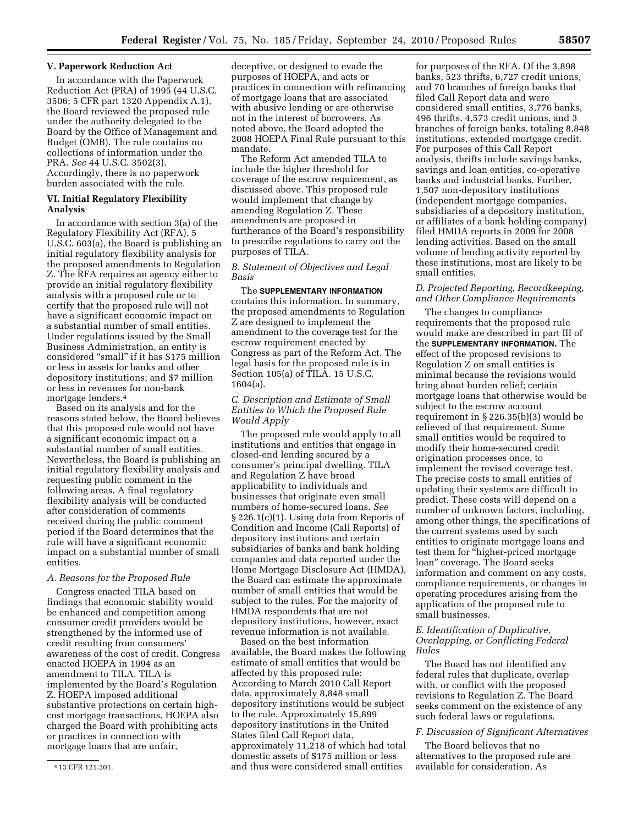#### **V. Paperwork Reduction Act**

In accordance with the Paperwork Reduction Act (PRA) of 1995 (44 U.S.C. 3506; 5 CFR part 1320 Appendix A.1), the Board reviewed the proposed rule under the authority delegated to the Board by the Office of Management and Budget (OMB). The rule contains no collections of information under the PRA. *See* 44 U.S.C. 3502(3). Accordingly, there is no paperwork burden associated with the rule.

## **VI. Initial Regulatory Flexibility Analysis**

In accordance with section 3(a) of the Regulatory Flexibility Act (RFA), 5 U.S.C. 603(a), the Board is publishing an initial regulatory flexibility analysis for the proposed amendments to Regulation Z. The RFA requires an agency either to provide an initial regulatory flexibility analysis with a proposed rule or to certify that the proposed rule will not have a significant economic impact on a substantial number of small entities. Under regulations issued by the Small Business Administration, an entity is considered ''small'' if it has \$175 million or less in assets for banks and other depository institutions; and \$7 million or less in revenues for non-bank mortgage lenders.4

Based on its analysis and for the reasons stated below, the Board believes that this proposed rule would not have a significant economic impact on a substantial number of small entities. Nevertheless, the Board is publishing an initial regulatory flexibility analysis and requesting public comment in the following areas. A final regulatory flexibility analysis will be conducted after consideration of comments received during the public comment period if the Board determines that the rule will have a significant economic impact on a substantial number of small entities.

#### *A. Reasons for the Proposed Rule*

Congress enacted TILA based on findings that economic stability would be enhanced and competition among consumer credit providers would be strengthened by the informed use of credit resulting from consumers' awareness of the cost of credit. Congress enacted HOEPA in 1994 as an amendment to TILA. TILA is implemented by the Board's Regulation Z. HOEPA imposed additional substantive protections on certain highcost mortgage transactions. HOEPA also charged the Board with prohibiting acts or practices in connection with mortgage loans that are unfair,

deceptive, or designed to evade the purposes of HOEPA, and acts or practices in connection with refinancing of mortgage loans that are associated with abusive lending or are otherwise not in the interest of borrowers. As noted above, the Board adopted the 2008 HOEPA Final Rule pursuant to this mandate.

The Reform Act amended TILA to include the higher threshold for coverage of the escrow requirement, as discussed above. This proposed rule would implement that change by amending Regulation Z. These amendments are proposed in furtherance of the Board's responsibility to prescribe regulations to carry out the purposes of TILA.

### *B. Statement of Objectives and Legal Basis*

The **SUPPLEMENTARY INFORMATION** contains this information. In summary, the proposed amendments to Regulation Z are designed to implement the amendment to the coverage test for the escrow requirement enacted by Congress as part of the Reform Act. The legal basis for the proposed rule is in Section 105(a) of TILA. 15 U.S.C. 1604(a).

# *C. Description and Estimate of Small Entities to Which the Proposed Rule Would Apply*

The proposed rule would apply to all institutions and entities that engage in closed-end lending secured by a consumer's principal dwelling. TILA and Regulation Z have broad applicability to individuals and businesses that originate even small numbers of home-secured loans. *See*  § 226.1(c)(1). Using data from Reports of Condition and Income (Call Reports) of depository institutions and certain subsidiaries of banks and bank holding companies and data reported under the Home Mortgage Disclosure Act (HMDA), the Board can estimate the approximate number of small entities that would be subject to the rules. For the majority of HMDA respondents that are not depository institutions, however, exact revenue information is not available.

Based on the best information available, the Board makes the following estimate of small entities that would be affected by this proposed rule: According to March 2010 Call Report data, approximately 8,848 small depository institutions would be subject to the rule. Approximately 15,899 depository institutions in the United States filed Call Report data, approximately 11,218 of which had total domestic assets of \$175 million or less and thus were considered small entities

for purposes of the RFA. Of the 3,898 banks, 523 thrifts, 6,727 credit unions, and 70 branches of foreign banks that filed Call Report data and were considered small entities, 3,776 banks, 496 thrifts, 4,573 credit unions, and 3 branches of foreign banks, totaling 8,848 institutions, extended mortgage credit. For purposes of this Call Report analysis, thrifts include savings banks, savings and loan entities, co-operative banks and industrial banks. Further, 1,507 non-depository institutions (independent mortgage companies, subsidiaries of a depository institution, or affiliates of a bank holding company) filed HMDA reports in 2009 for 2008 lending activities. Based on the small volume of lending activity reported by these institutions, most are likely to be small entities.

## *D. Projected Reporting, Recordkeeping, and Other Compliance Requirements*

The changes to compliance requirements that the proposed rule would make are described in part III of the **SUPPLEMENTARY INFORMATION.** The effect of the proposed revisions to Regulation Z on small entities is minimal because the revisions would bring about burden relief; certain mortgage loans that otherwise would be subject to the escrow account requirement in § 226.35(b)(3) would be relieved of that requirement. Some small entities would be required to modify their home-secured credit origination processes once, to implement the revised coverage test. The precise costs to small entities of updating their systems are difficult to predict. These costs will depend on a number of unknown factors, including, among other things, the specifications of the current systems used by such entities to originate mortgage loans and test them for ''higher-priced mortgage loan'' coverage. The Board seeks information and comment on any costs, compliance requirements, or changes in operating procedures arising from the application of the proposed rule to small businesses.

# *E. Identification of Duplicative, Overlapping, or Conflicting Federal Rules*

The Board has not identified any federal rules that duplicate, overlap with, or conflict with the proposed revisions to Regulation Z. The Board seeks comment on the existence of any such federal laws or regulations.

#### *F. Discussion of Significant Alternatives*

The Board believes that no alternatives to the proposed rule are available for consideration. As

<sup>4</sup> 13 CFR 121.201.